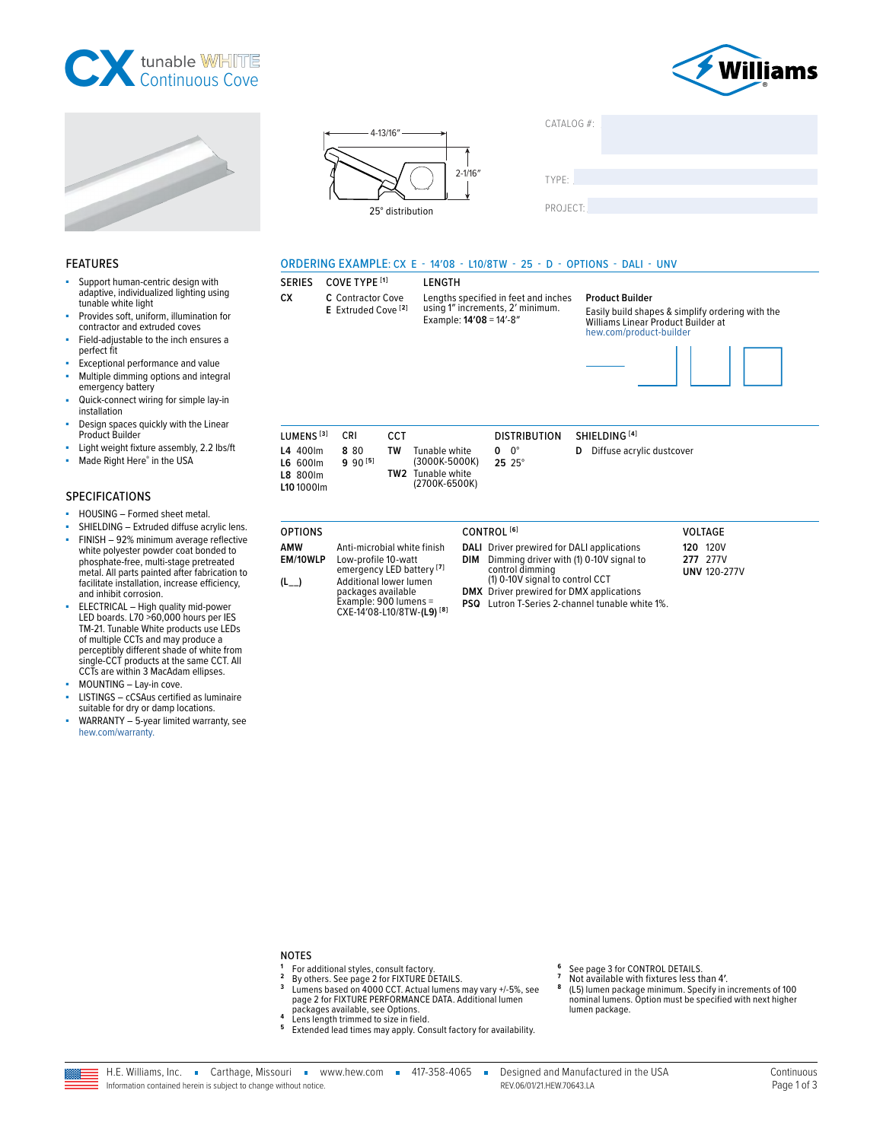







| YPE: |  |  |  |
|------|--|--|--|
|      |  |  |  |

PROJECT:

 $\top$ 

CATALOG #:

#### ORDERING EXAMPLE: CX E - 14'08 - L10/8TW - 25 - D - OPTIONS - DALI - UNV

#### **SERIES** COVE TYPE [1]

**CX** C Contractor Cove

# **LENGTH** Lengths specified in feet and inches<br>using 1" increments, 2' minimum.

E Extruded Cove<sup>[2]</sup> Example: 14'08 = 14'-8"

#### **Product Builder**

Easily build shapes & simplify ordering with the Williams Linear Product Builder at hew.com/product-builder



| LUMENS <sup>[3]</sup>                                               | CRI                 | CCT        |                                                                  |                     | <b>DISTRIBUTION</b> | SHIFI DING [4]                     |
|---------------------------------------------------------------------|---------------------|------------|------------------------------------------------------------------|---------------------|---------------------|------------------------------------|
| L4 400lm<br><b>L6 600lm</b><br><b>L8 800lm</b><br><b>L10</b> 1000lm | 880<br>$9.90^{[5]}$ | TW<br>TW2. | Tunable white<br>(3000K-5000K)<br>Tunable white<br>(2700K-6500K) | $0 \quad 0^{\circ}$ | $25.25^{\circ}$     | <b>D</b> Diffuse acrylic dustcover |

| <b>OPTIONS</b>         |                                                                                                                                                                                                              | CONTROL <sup>[6]</sup>                                                                                                                                                                                                                                       | <b>VOLTAGE</b>                                     |  |
|------------------------|--------------------------------------------------------------------------------------------------------------------------------------------------------------------------------------------------------------|--------------------------------------------------------------------------------------------------------------------------------------------------------------------------------------------------------------------------------------------------------------|----------------------------------------------------|--|
| AMW<br>EM/10WLP<br>(L_ | Anti-microbial white finish<br>Low-profile 10-watt<br>emergency LED battery <sup>[7]</sup><br>Additional lower lumen<br>packages available<br>Example: 900 lumens =<br>CXE-14'08-L10/8TW-(L9) <sup>[8]</sup> | <b>DALI</b> Driver prewired for DALI applications<br>DIM Dimming driver with (1) 0-10V signal to<br>control dimming<br>(1) 0-10V signal to control CCT<br><b>DMX</b> Driver prewired for DMX applications<br>PSQ Lutron T-Series 2-channel tunable white 1%. | <b>120 120V</b><br>277 277V<br><b>UNV 120-277V</b> |  |

#### adaptive, individualized lighting using

**FEATURES** 

tunable white light Provides soft, uniform, illumination for contractor and extruded coves

Support human-centric design with

- Field-adjustable to the inch ensures a ä, perfect fit
- ä, Exceptional performance and value
- Multiple dimming options and integral emergency battery
- Quick-connect wiring for simple lay-in installation
- Design spaces quickly with the Linear Product Builder
- ä Light weight fixture assembly, 2.2 lbs/ft
- ä Made Right Here® in the USA

#### **SPECIFICATIONS**

- HOUSING Formed sheet metal.
- SHIELDING Extruded diffuse acrylic lens.
- FINISH 92% minimum average reflective white polyester powder coat bonded to phosphate-free, multi-stage pretreated metal. All parts painted after fabrication to facilitate installation, increase efficiency, and inhibit corrosion.
- ELECTRICAL High quality mid-power<br>LED boards. L70 >60,000 hours per IES<br>TM-21. Tunable White products use LEDs of multiple CCTs and may produce a perceptibly different shade of white from single-CCT products at the same CCT. All CCTs are within 3 MacAdam ellipses.
- MOUNTING Lay-in cove.
- LISTINGS cCSAus certified as luminaire suitable for dry or damp locations.
- WARRANTY 5-year limited warranty, see hew.com/warranty.

## **NOTES**

- 1  $\overline{2}$
- $\mathbf{3}$
- The additional styles, consult factory.<br>By others. See page 2 for FIXTURE DETAILS.<br>Lumens based on 4000 CCT. Actual lumens may vary +/-5%, see<br>page 2 for FIXTURE PERFORMANCE DATA. Additional lumen packages available, see Options.
- $\pmb{4}$ Lens length trimmed to size in field.
- <sup>5</sup> Extended lead times may apply. Consult factory for availability.
- See page 3 for CONTROL DETAILS.<br>Not available with fixtures less than 4'. 6
- 8 (L5) lumen package minimum. Specify in increments of 100
- nominal lumens. Option must be specified with next higher lumen package.

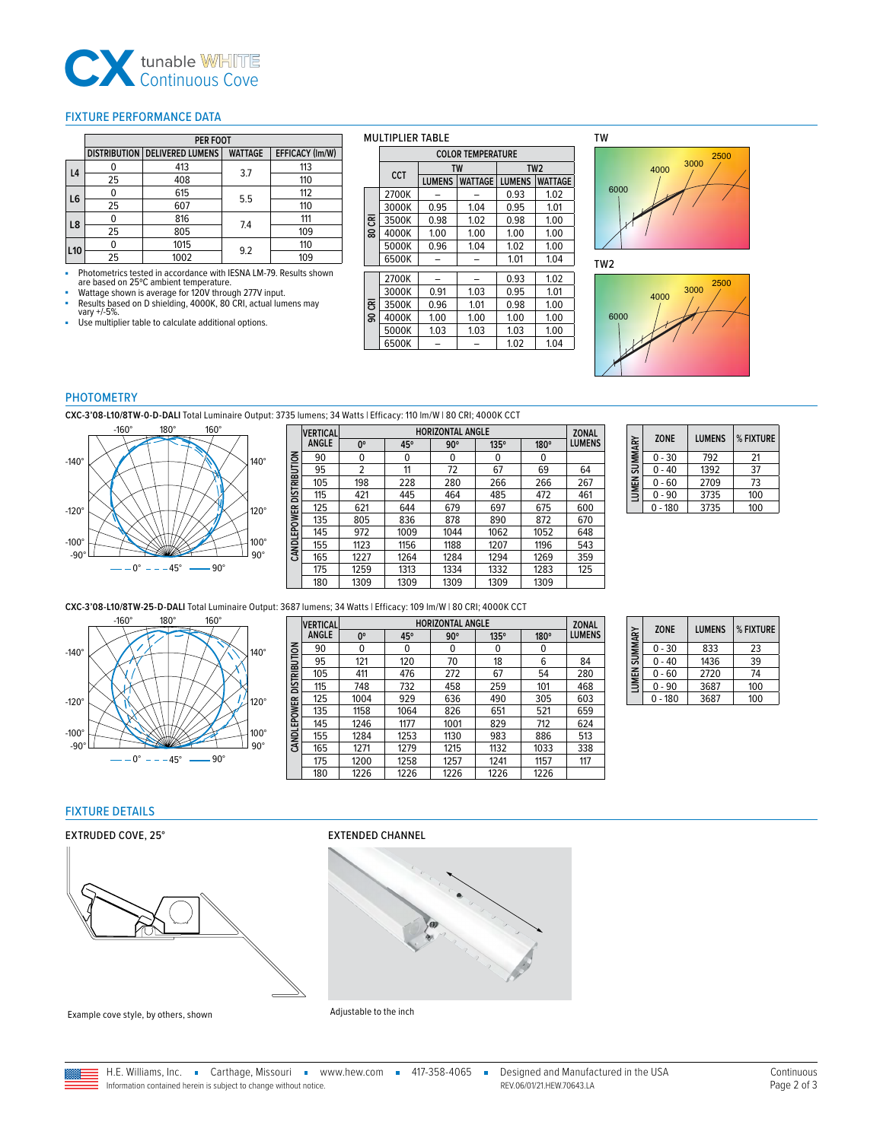

#### <span id="page-1-1"></span>FIXTURE PERFORMANCE DATA

|                 | <b>PER FOOT</b> |                                 |                |                 |  |  |  |
|-----------------|-----------------|---------------------------------|----------------|-----------------|--|--|--|
|                 |                 | DISTRIBUTION   DELIVERED LUMENS | <b>WATTAGE</b> | EFFICACY (Im/W) |  |  |  |
| L <sub>4</sub>  |                 | 413                             | 3.7            | 113             |  |  |  |
|                 | 25              | 408                             |                | 110             |  |  |  |
| L6              |                 | 615                             | 5.5            | 112             |  |  |  |
|                 | 25              | 607                             |                | 110             |  |  |  |
| L8              |                 | 816                             | 7.4            | 111             |  |  |  |
|                 | 25              | 805                             |                | 109             |  |  |  |
|                 |                 | 1015                            |                | 110             |  |  |  |
| L <sub>10</sub> | 25              | 1002                            | 9.2            | 109             |  |  |  |

■ Photometrics tested in accordance with IESNA LM-79. Results shown are based on 25ºC ambient temperature.

- are sased on 25 c ambient temperature.<br>Wattage shown is average for 120V through 277V input.
- Results based on D shielding, 4000K, 80 CRI, actual lumens may vary +/-5%.
- Use multiplier table to calculate additional options.

#### MULTIPLIER TABLE

|     | <b>COLOR TEMPERATURE</b> |                                 |           |               |                 |  |  |  |
|-----|--------------------------|---------------------------------|-----------|---------------|-----------------|--|--|--|
|     | CCT                      |                                 | <b>TW</b> |               | TW <sub>2</sub> |  |  |  |
|     |                          | <b>LUMENS</b><br><b>WATTAGE</b> |           | <b>LUMENS</b> | <b>WATTAGE</b>  |  |  |  |
|     | 2700K                    |                                 |           | 0.93          | 1.02            |  |  |  |
|     | 3000K                    | 0.95                            | 1.04      | 0.95          | 1.01            |  |  |  |
| ᅗ   | 3500K                    | 0.98                            | 1.02      | 0.98          | 1.00            |  |  |  |
| ន្ល | 4000K                    | 1.00                            | 1.00      | 1.00          | 1.00            |  |  |  |
|     | 5000K                    | 0.96                            | 1.04      | 1.02          | 1.00            |  |  |  |
|     | 6500K                    |                                 |           | 1.01          | 1.04            |  |  |  |
|     |                          |                                 |           |               |                 |  |  |  |
|     | 2700K                    |                                 |           | 0.93          | 1.02            |  |  |  |
|     | 3000K                    | 0.91                            | 1.03      | 0.95          | 1.01            |  |  |  |
| ᅗ   | 3500K                    | 0.96                            | 1.01      | 0.98          | 1.00            |  |  |  |
| g   | 4000K                    | 1.00                            | 1.00      | 1.00          | 1.00            |  |  |  |
|     | 5000K                    | 1.03                            | 1.03      | 1.03          | 1.00            |  |  |  |
|     | 6500K                    |                                 |           | 1.02          | 1.04            |  |  |  |

TW



TW2



#### PHOTOMETRY

**CXC-3'08-L10/8TW-0-D-DALI** Total Luminaire Output: 3735 lumens; 34 Watts | Efficacy: 110 lm/W | 80 CRI; 4000K CCT



|                     | <b>VERTICAL</b> | <b>HORIZONTAL ANGLE</b><br><b>ZONAL</b> |      |            |             |      |               |  |
|---------------------|-----------------|-----------------------------------------|------|------------|-------------|------|---------------|--|
|                     | <b>ANGLE</b>    | 0°                                      | 45°  | $90^\circ$ | $135^\circ$ | 180° | <b>LUMENS</b> |  |
|                     | 90              | 0                                       | 0    | 0          | 0           | 0    |               |  |
|                     | 95              | 2                                       | 11   | 72         | 67          | 69   | 64            |  |
| <b>DISTRIBUTION</b> | 105             | 198                                     | 228  | 280        | 266         | 266  | 267           |  |
|                     | 115             | 421                                     | 445  | 464        | 485         | 472  | 461           |  |
|                     | 125             | 621                                     | 644  | 679        | 697         | 675  | 600           |  |
|                     | 135             | 805                                     | 836  | 878        | 890         | 872  | 670           |  |
| <b>CANDLEPOWER</b>  | 145             | 972                                     | 1009 | 1044       | 1062        | 1052 | 648           |  |
|                     | 155             | 1123                                    | 1156 | 1188       | 1207        | 1196 | 543           |  |
|                     | 165             | 1227                                    | 1264 | 1284       | 1294        | 1269 | 359           |  |
|                     | 175             | 1259                                    | 1313 | 1334       | 1332        | 1283 | 125           |  |
|                     | 180             | 1309                                    | 1309 | 1309       | 1309        | 1309 |               |  |

| LUMEN SUMMARY | <b>ZONE</b> | <b>LUMENS</b> | % FIXTURE |
|---------------|-------------|---------------|-----------|
|               | $0 - 30$    | 792           | 21        |
|               | $0 - 40$    | 1392          | 37        |
|               | $0 - 60$    | 2709          | 73        |
|               | 0 - 90      | 3735          | 100       |
|               | $0 - 180$   | 3735          | 100       |

**CXC-3'08-L10/8TW-25-D-DALI** Total Luminaire Output: 3687 lumens; 34 Watts | Efficacy: 109 lm/W | 80 CRI; 4000K CCT



|                          | <b>VERTICAL</b> | <b>HORIZONTAL ANGLE</b> |      |            |      |      |               |  |  |
|--------------------------|-----------------|-------------------------|------|------------|------|------|---------------|--|--|
|                          | <b>ANGLE</b>    | $0^{\circ}$             | 45°  | $90^\circ$ | 135° | 180° | <b>LUMENS</b> |  |  |
|                          | 90              | 0                       | 0    | 0          | 0    | 0    |               |  |  |
|                          | 95              | 121                     | 120  | 70         | 18   | 6    | 84            |  |  |
|                          | 105             | 411                     | 476  | 272        | 67   | 54   | 280           |  |  |
| CANDLEPOWER DISTRIBUTION | 115             | 748                     | 732  | 458        | 259  | 101  | 468           |  |  |
|                          | 125             | 1004                    | 929  | 636        | 490  | 305  | 603           |  |  |
|                          | 135             | 1158                    | 1064 | 826        | 651  | 521  | 659           |  |  |
|                          | 145             | 1246                    | 1177 | 1001       | 829  | 712  | 624           |  |  |
|                          | 155             | 1284                    | 1253 | 1130       | 983  | 886  | 513           |  |  |
|                          | 165             | 1271                    | 1279 | 1215       | 1132 | 1033 | 338           |  |  |
|                          | 175             | 1200                    | 1258 | 1257       | 1241 | 1157 | 117           |  |  |
|                          | 180             | 1226                    | 1226 | 1226       | 1226 | 1226 |               |  |  |

| <b>SUMMARY</b> | <b>ZONE</b> | <b>LUMENS</b> | % FIXTURE |
|----------------|-------------|---------------|-----------|
|                | $0 - 30$    | 833           | 23        |
|                | $0 - 40$    | 1436          | 39        |
| <b>LUMEN</b>   | $0 - 60$    | 2720          | 74        |
|                | - 90        | 3687          | 100       |
|                | $0 - 180$   | 3687          | 100       |

## <span id="page-1-0"></span>FIXTURE DETAILS

#### EXTRUDED COVE, 25° EXTENDED CHANNEL





Example cove style, by others, shown Adjustable to the inch



H.E. Williams, Inc. Carthage, Missouri = www.hew.com = 417-358-4065 = Designed and Manufactured in the USA<br>Information contained herein is subject to change without notice. Information contained herein is subject to change without notice.